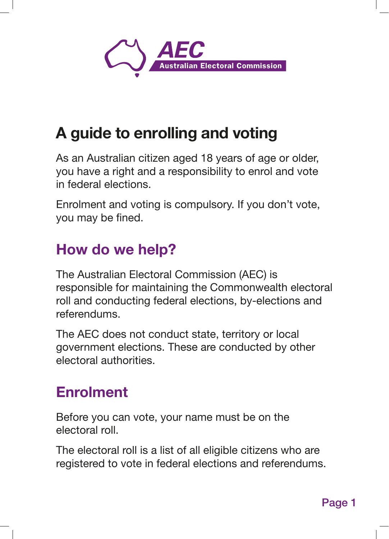

# A guide to enrolling and voting

As an Australian citizen aged 18 years of age or older, you have a right and a responsibility to enrol and vote in federal elections.

Enrolment and voting is compulsory. If you don't vote, you may be fined.

## How do we help?

The Australian Electoral Commission (AEC) is responsible for maintaining the Commonwealth electoral roll and conducting federal elections, by-elections and referendums.

The AEC does not conduct state, territory or local government elections. These are conducted by other electoral authorities.

## Enrolment

Before you can vote, your name must be on the electoral roll.

The electoral roll is a list of all eligible citizens who are registered to vote in federal elections and referendums.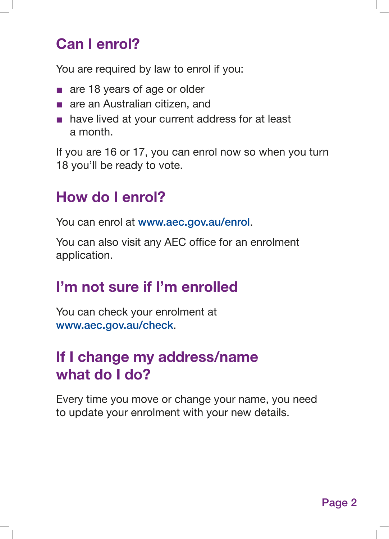### Can I enrol?

You are required by law to enrol if you:

- are 18 years of age or older
- are an Australian citizen, and
- have lived at your current address for at least a month.

If you are 16 or 17, you can enrol now so when you turn 18 you'll be ready to vote.

#### How do I enrol?

You can enrol at www.aec.gov.au/enrol.

You can also visit any AEC office for an enrolment application.

### I'm not sure if I'm enrolled

You can check your enrolment at www.aec.gov.au/check.

### If I change my address/name what do I do?

Every time you move or change your name, you need to update your enrolment with your new details.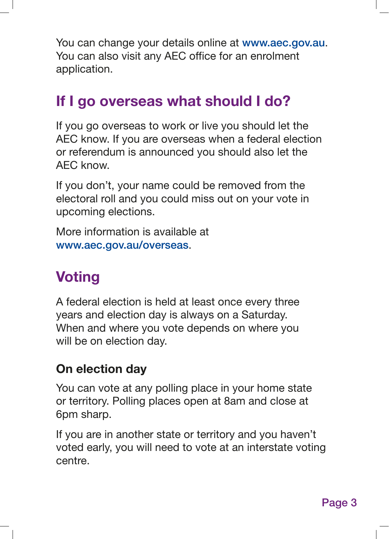You can change your details online at www.aec.gov.au. You can also visit any AEC office for an enrolment application.

### If I go overseas what should I do?

If you go overseas to work or live you should let the AEC know. If you are overseas when a federal election or referendum is announced you should also let the AEC know.

If you don't, your name could be removed from the electoral roll and you could miss out on your vote in upcoming elections.

More information is available at www.aec.gov.au/overseas.

# **Voting**

A federal election is held at least once every three years and election day is always on a Saturday. When and where you vote depends on where you will be on election day.

#### On election day

You can vote at any polling place in your home state or territory. Polling places open at 8am and close at 6pm sharp.

If you are in another state or territory and you haven't voted early, you will need to vote at an interstate voting centre.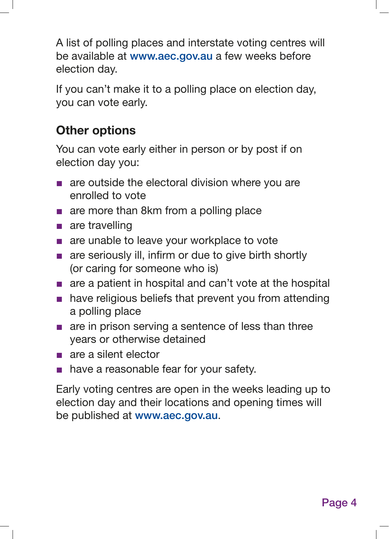A list of polling places and interstate voting centres will be available at www.aec.gov.au a few weeks before election day.

If you can't make it to a polling place on election day, you can vote early.

#### Other options

You can vote early either in person or by post if on election day you:

- are outside the electoral division where you are enrolled to vote
- are more than 8km from a polling place
- are travelling
- are unable to leave your workplace to vote
- are seriously ill, infirm or due to give birth shortly (or caring for someone who is)
- are a patient in hospital and can't vote at the hospital
- have religious beliefs that prevent you from attending a polling place
- are in prison serving a sentence of less than three years or otherwise detained
- are a silent elector
- have a reasonable fear for your safety.

Early voting centres are open in the weeks leading up to election day and their locations and opening times will be published at www.aec.gov.au.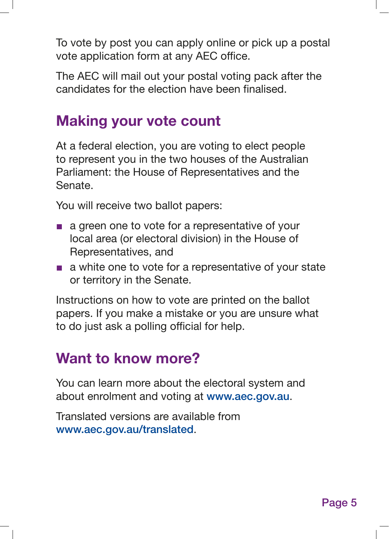To vote by post you can apply online or pick up a postal vote application form at any AEC office.

The AEC will mail out your postal voting pack after the candidates for the election have been finalised.

### Making your vote count

At a federal election, you are voting to elect people to represent you in the two houses of the Australian Parliament: the House of Representatives and the Senate.

You will receive two ballot papers:

- a green one to vote for a representative of your local area (or electoral division) in the House of Representatives, and
- a white one to vote for a representative of your state or territory in the Senate.

Instructions on how to vote are printed on the ballot papers. If you make a mistake or you are unsure what to do just ask a polling official for help.

#### Want to know more?

You can learn more about the electoral system and about enrolment and voting at www.aec.gov.au.

Translated versions are available from www.aec.gov.au/translated.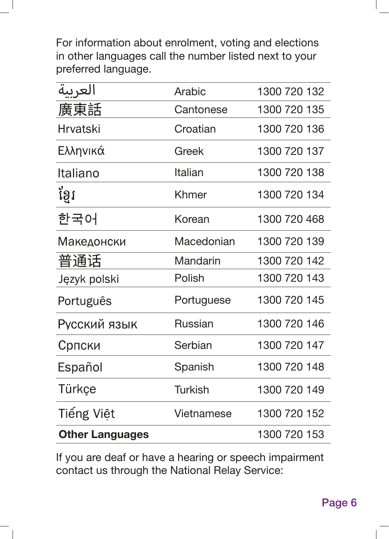For information about enrolment, voting and elections in other languages call the number listed next to your preferred language.

| العريبة                | Arabic          | 1300 720 132 |
|------------------------|-----------------|--------------|
| 廣東話                    | Cantonese       | 1300 720 135 |
| <b>Hrvatski</b>        | Croatian        | 1300 720 136 |
| Ελληνικά               | Greek           | 1300 720 137 |
| Italiano               | Italian         | 1300 720 138 |
| ខ្ចែរ                  | Khmer           | 1300 720 134 |
| 한국어                    | Korean          | 1300 720 468 |
| Македонски             | Macedonian      | 1300 720 139 |
| 普通话                    | <b>Mandarin</b> | 1300 720 142 |
| Język polski           | Polish          | 1300 720 143 |
| Português              | Portuguese      | 1300 720 145 |
| Русский язык           | <b>Russian</b>  | 1300 720 146 |
| Српски                 | Serbian         | 1300 720 147 |
| Español                | Spanish         | 1300 720 148 |
| Türkçe                 | <b>Turkish</b>  | 1300 720 149 |
| Tiếng Việt             | Vietnamese      | 1300 720 152 |
| <b>Other Languages</b> |                 | 1300 720 153 |

If you are deaf or have a hearing or speech impairment contact us through the National Relay Service: